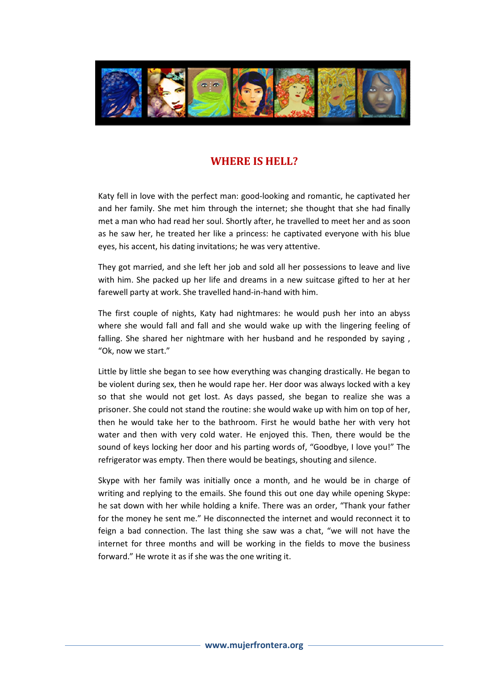

## WHERE IS HELL?

Katy fell in love with the perfect man: good-looking and romantic, he captivated her and her family. She met him through the internet; she thought that she had finally met a man who had read her soul. Shortly after, he travelled to meet her and as soon as he saw her, he treated her like a princess: he captivated everyone with his blue eyes, his accent, his dating invitations; he was very attentive.

They got married, and she left her job and sold all her possessions to leave and live with him. She packed up her life and dreams in a new suitcase gifted to her at her farewell party at work. She travelled hand-in-hand with him.

The first couple of nights, Katy had nightmares: he would push her into an abyss where she would fall and fall and she would wake up with the lingering feeling of falling. She shared her nightmare with her husband and he responded by saying , "Ok, now we start."

Little by little she began to see how everything was changing drastically. He began to be violent during sex, then he would rape her. Her door was always locked with a key so that she would not get lost. As days passed, she began to realize she was a prisoner. She could not stand the routine: she would wake up with him on top of her, then he would take her to the bathroom. First he would bathe her with very hot water and then with very cold water. He enjoyed this. Then, there would be the sound of keys locking her door and his parting words of, "Goodbye, I love you!" The refrigerator was empty. Then there would be beatings, shouting and silence.

Skype with her family was initially once a month, and he would be in charge of writing and replying to the emails. She found this out one day while opening Skype: he sat down with her while holding a knife. There was an order, "Thank your father for the money he sent me." He disconnected the internet and would reconnect it to feign a bad connection. The last thing she saw was a chat, "we will not have the internet for three months and will be working in the fields to move the business forward." He wrote it as if she was the one writing it.